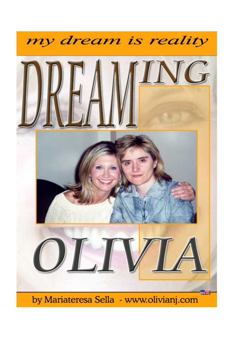

by Mariateresa Sella - www.olivianj.com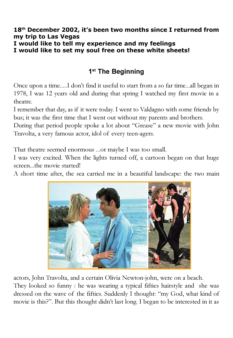#### 18<sup>th</sup> December 2002, it's been two months since I returned from my trip to Las Vegas I would like to tell my experience and my feelings I would like to set my soul free on these white sheets!

# 1<sup>st</sup> The Beginning

Once upon a time.....I don't find it useful to start from a so far time...all began in 1978, I was 12 years old and during that spring I watched my first movie in a theatre.

I remember that day, as if it were today. I went to Valdagno with some friends by bus; it was the first time that I went out without my parents and brothers.

During that period people spoke a lot about "Grease" a new movie with John Travolta, a very famous actor, idol of every teen-agers.

That theatre seemed enormous ...or maybe I was too small.

I was very excited. When the lights turned off, a cartoon began on that huge screen...the movie started!

A short time after, the sea carried me in a beautiful landscape: the two main



actors, John Travolta, and a certain Olivia Newton-john, were on a beach.

They looked so funny : he was wearing a typical fifties hairstyle and she was dressed on the wave of the fifties. Suddenly I thought: "my God, what kind of movie is this?". But this thought didn't last long. I began to be interested in it as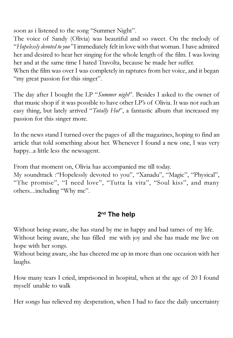soon as i listened to the song "Summer Night".

The voice of Sandy (Olivia) was beautiful and so sweet. On the melody of "Hopelessly devoted to you" I immediately felt in love with that woman. I have admired her and desired to hear her singing for the whole length of the film. I was loving her and at the same time I hated Travolta, because he made her suffer.

When the film was over I was completely in raptures from her voice, and it began "my great passion for this singer".

The day after I bought the LP "Summer night". Besides I asked to the owner of that music shop if it was possible to have other LP's of Olivia. It was not such an easy thing, but lately arrived "Totally Hot", a fantastic album that increased my passion for this singer more.

In the news stand I turned over the pages of all the magazines, hoping to find an article that told something about her. Whenever I found a new one, I was very happy...a little less the newsagent.

From that moment on, Olivia has accompanied me till today.

My soundtrack :"Hopelessly devoted to you", "Xanadu", "Magic", "Physical", "The promise", "I need love", "Tutta la vita", "Soul kiss", and many others....including "Why me".

# 2<sup>nd</sup> The help

Without being aware, she has stand by me in happy and bad tames of my life.

Without being aware, she has filled me with joy and she has made me live on hope with her songs.

Without being aware, she has cheered me up in more than one occasion with her laughs.

How many tears I cried, imprisoned in hospital, when at the age of 20 I found myself unable to walk

Her songs has relieved my desperation, when I had to face the daily uncertainty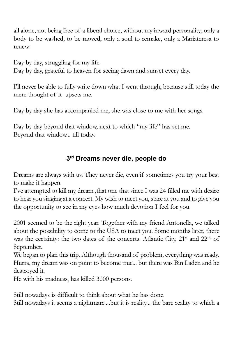all alone, not being free of a liberal choice; without my inward personality; only a body to be washed, to be moved, only a soul to remake, only a Mariateresa to renew.

Day by day, struggling for my life. Day by day, grateful to heaven for seeing dawn and sunset every day.

I'll never be able to fully write down what I went through, because still today the mere thought of it upsets me.

Day by day she has accompanied me, she was close to me with her songs.

Day by day beyond that window, next to which "my life" has set me. Beyond that window... till today.

## 3rd Dreams never die, people do

Dreams are always with us. They never die, even if sometimes you try your best to make it happen.

I've attempted to kill my dream ,that one that since I was 24 filled me with desire to hear you singing at a concert. My wish to meet you, stare at you and to give you the opportunity to see in my eyes how much devotion I feel for you.

2001 seemed to be the right year. Together with my friend Antonella, we talked about the possibility to come to the USA to meet you. Some months later, there was the certainty: the two dates of the concerts: Atlantic City, 21<sup>st</sup> and 22<sup>nd</sup> of September.

We began to plan this trip. Although thousand of problem, everything was ready. Hurra, my dream was on point to become true... but there was Bin Laden and he destroyed it.

He with his madness, has killed 3000 persons.

Still nowadays is difficult to think about what he has done. Still nowadays it seems a nightmare....but it is reality... the bare reality to which a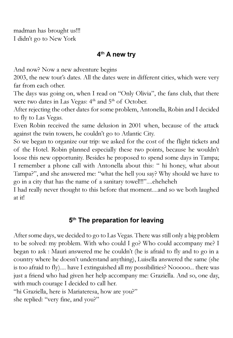madman has brought us!!! I didn't go to New York

## 4<sup>th</sup> A new try

And now? Now a new adventure begins

2003, the new tour's dates. All the dates were in different cities, which were very far from each other.

The days was going on, when I read on "Only Olivia", the fans club, that there were two dates in Las Vegas: 4<sup>th</sup> and 5<sup>th</sup> of October.

After rejecting the other dates for some problem, Antonella, Robin and I decided to fly to Las Vegas.

Even Robin received the same delusion in 2001 when, because of the attack against the twin towers, he couldn't go to Atlantic City.

So we began to organize our trip: we asked for the cost of the flight tickets and of the Hotel. Robin planned especially these two points, because he wouldn't loose this new opportunity. Besides he proposed to spend some days in Tampa; I remember a phone call with Antonella about this: " hi honey, what about Tampa?", and she answered me: "what the hell you say? Why should we have to go in a city that has the name of a sanitary towel!!!"....eheheheh

I had really never thought to this before that moment....and so we both laughed at it!

# 5<sup>th</sup> The preparation for leaving

After some days, we decided to go to Las Vegas. There was still only a big problem to be solved: my problem. With who could I go? Who could accompany me? I began to ask : Mauri answered me he couldn't (he is afraid to fly and to go in a country where he doesn't understand anything), Luisella answered the same (she is too afraid to fly).... have I extinguished all my possibilities? Nooooo... there was just a friend who had given her help accompany me: Graziella. And so, one day, with much courage I decided to call her.

"hi Graziella, here is Mariateresa, how are you?" she replied: "very fine, and you?"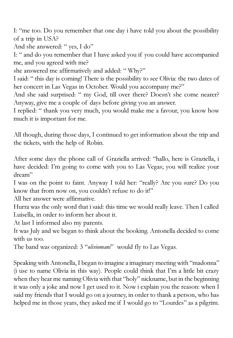I: "me too. Do you remember that one day i have told you about the possibility of a trip in USA?

And she answered: " yes, I do"

I: " and do you remember that I have asked you if you could have accompanied me, and you agreed with me?

she answered me affirmatively and added: " Why?"

I said: " this day is coming! There is the possibility to see Olivia: the two dates of her concert in Las Vegas in October. Would you accompany me?"

And she said surprised: " my God, till over there? Doesn't she come nearer? Anyway, give me a couple of days before giving you an answer.

I replied: " thank you very much, you would make me a favour, you know how much it is important for me.

All though, during those days, I continued to get information about the trip and the tickets, with the help of Robin.

After some days the phone call of Graziella arrived: "hallo, here is Graziella, i have decided: I'm going to come with you to Las Vegas; you will realize your dream"

I was on the point to faint. Anyway I told her: "really? Are you sure? Do you know that from now on, you couldn't refuse to do it!"

All her answer were affirmative.

Hurra was the only word that i said: this time we would really leave. Then I called Luisella, in order to inform her about it.

At last I informed also my parents.

It was July and we began to think about the booking. Antonella decided to come with us too.

The band was organized: 3 "oliviomani" would fly to Las Vegas.

Speaking with Antonella, I began to imagine a imaginary meeting with "madonna" (i use to name Olivia in this way). People could think that I'm a little bit crazy when they hear me naming Olivia with that "holy" nickname, but in the beginning it was only a joke and now I get used to it. Now i explain you the reason: when I said my friends that I would go on a journey, in order to thank a person, who has helped me in those years, they asked me if I would go to "Lourdes" as a pilgrim.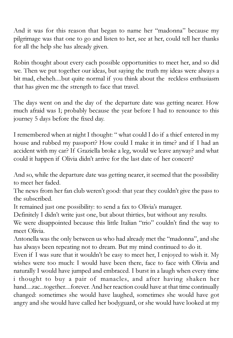And it was for this reason that began to name her "madonna" because my pilgrimage was that one to go and listen to her, see at her, could tell her thanks for all the help she has already given.

Robin thought about every each possible opportunities to meet her, and so did we. Then we put together our ideas, but saying the truth my ideas were always a bit mad, eheheh....but quite normal if you think about the reckless enthusiasm that has given me the strength to face that travel.

The days went on and the day of the departure date was getting nearer. How much afraid was I; probably because the year before I had to renounce to this journey 5 days before the fixed day.

I remembered when at night I thought: " what could I do if a thief entered in my house and rubbed my passport? How could I make it in time? and if I had an accident with my car? If Graziella broke a leg, would we leave anyway? and what could it happen if Olivia didn't arrive for the last date of her concert?

And so, while the departure date was getting nearer, it seemed that the possibility to meet her faded.

The news from her fan club weren't good: that year they couldn't give the pass to the subscribed.

It remained just one possibility: to send a fax to Olivia's manager.

Definitely I didn't write just one, but about thirties, but without any results.

We were disappointed because this little Italian "trio" couldn't find the way to meet Olivia.

Antonella was the only between us who had already met the "madonna", and she has always been repeating not to dream. But my mind continued to do it.

Even if I was sure that it wouldn't be easy to meet her, I enjoyed to wish it. My wishes were too much: I would have been there, face to face with Olivia and naturally I would have jumped and embraced. I burst in a laugh when every time i thought to buy a pair of manacles, and after having shaken her hand....zac...together....forever. And her reaction could have at that time continually changed: sometimes she would have laughed, sometimes she would have got angry and she would have called her bodyguard, or she would have looked at my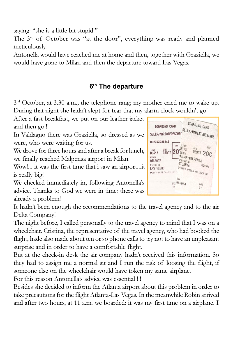saying: "she is a little bit stupid!"

The 3<sup>rd</sup> of October was "at the door", everything was ready and planned meticulously.

Antonella would have reached me at home and then, together with Graziella, we would have gone to Milan and then the departure toward Las Vegas.

# 6<sup>th</sup> The departure

 $3<sup>rd</sup>$  October, at 3.30 a.m.; the telephone rang; my mother cried me to wake up. During that night she hadn't slept for fear that my alarm clock wouldn't go!

After a fast breakfast, we put on our leather jacket and then go!!!

In Valdagno there was Graziella, so dressed as we were, who were waiting for us.

We drove for three hours and after a break for lunch, we finally reached Malpensa airport in Milan.

Wow!... it was the first time that i saw an airport...it is really big!

We checked immediately in, following Antonella's advice. Thanks to God we were in time: there was already a problem!

It hadn't been enough the recommendations to the travel agency and to the air Delta Company!

The night before, I called personally to the travel agency to mind that I was on a wheelchair. Cristina, the representative of the travel agency, who had booked the flight, hade also made about ten or so phone calls to try not to have an unpleasant surprise and in order to have a comfortable flight.

But at the check-in desk the air company hadn't received this information. So they had to assign me a normal sit and I run the risk of loosing the flight, if someone else on the wheelchair would have token my same airplane.

For this reason Antonella's advice was essential !!!

Besides she decided to inform the Atlanta airport about this problem in order to take precautions for the flight Atlanta-Las Vegas. In the meanwhile Robin arrived and after two hours, at 11 a.m. we boarded: it was my first time on a airplane. I

| BOARDING CARD<br>SELLA/MARIATERESAMRS                                                     |                                                                   | BOARDING CARD<br>SELLA/MARIATERESAMRS |
|-------------------------------------------------------------------------------------------|-------------------------------------------------------------------|---------------------------------------|
| DL2393028143                                                                              | FLIGHT<br>SERT                                                    |                                       |
| DATE<br>FLIGHT<br>030CT<br>DI 417<br>ORIGIN<br>ATLANTA<br>DESTINATION<br><b>LAS VEGAS</b> | DL75<br>URIGIN<br><b>MILAN-MALPENSA</b><br>JESTINATION<br>ATLANTA | SEAT<br>DATE<br>030CT 20C<br>EQP01    |
| OPERATED BY GELTA ATR LINES I                                                             |                                                                   | DERATED BY DELTA AIR LINES INC.       |
|                                                                                           | BOW<br>ИХРО64<br>0?                                               | BABS<br>01                            |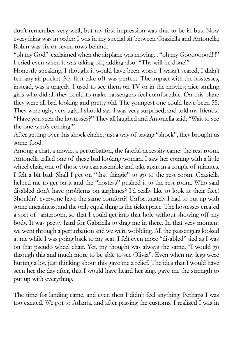don't remember very well, but my first impression was that to be in bus. Now everything was in order: I was in my special sit between Graziella and Antonella; Robin was six or seven rows behind.

"oh my God" exclaimed when the airplane was moving... "oh my Goooooood!!!" I cried even when it was taking off, adding also: "Thy will be done!"

Honestly speaking, I thought it would have been worse. I wasn't scared, I didn't feel any air pocket. My first take-off was perfect. The impact with the hostesses, instead, was a tragedy. I used to see them on TV or in the movies; nice smiling girls who did all they could to make passengers feel comfortable. On this plane they were all bad looking and pretty old. The youngest one could have been 55. They were ugly, very ugly, I should say. I was very surprised, and told my friends; "Have you seen the hostesses?" They all laughed and Antonella said; "Wait to see the one who's coming!"

After getting over this shock ehehe, just a way of saying "shock", they brought us some food.

Among a chat, a movie, a perturbation, the fateful necessity came: the rest room. Antonella called one of these bad looking woman. I saw her coming with a little wheel chair, one of those you can assemble and take apart in a couple of minutes. I felt a bit bad. Shall I get on "that thingie" to go to the rest room. Graziella helped me to get on it and the "hostess" pushed it to the rest room. Who said disabled don't have problems on airplanes? I'd really like to look at their face! Shouldn't everyone have the same comfort?! Unfortunately I had to put up with some uneasiness, and the only equal thing is the ticket price. The hostesses created a sort of anteroom, so that I could get into that hole without showing off my body. It was pretty hard for Gabriella to drag me in there. In that very moment we went through a perturbation and we were wobbling. All the passengers looked at me while I was going back to my seat. I felt even more "disabled" tied as I was on that pseudo wheel chair. Yet, my thought was always the same; "I would go through this and much more to be able to see Olivia". Even when my legs were hurting a lot, just thinking about this gave me a relief. The idea that I would have seen her the day after, that I would have heard her sing, gave me the strength to put up with everything.

The time for landing came, and even then I didn't feel anything. Perhaps I was too excited. We got to Atlanta, and after passing the customs, I realized I was in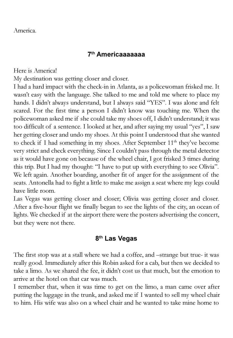### 7th Americaaaaaaa

Here is America!

My destination was getting closer and closer.

I had a hard impact with the check-in in Atlanta, as a policewoman frisked me. It wasn't easy with the language. She talked to me and told me where to place my hands. I didn't always understand, but I always said "YES". I was alone and felt scared. For the first time a person I didn't know was touching me. When the policewoman asked me if she could take my shoes off, I didn't understand; it was too difficult of a sentence. I looked at her, and after saying my usual "yes", I saw her getting closer and undo my shoes. At this point I understood that she wanted to check if I had something in my shoes. After September 11<sup>th</sup> they've become very strict and check everything. Since I couldn't pass through the metal detector as it would have gone on because of the wheel chair, I got frisked 3 times during this trip. But I had my thought: "I have to put up with everything to see Olivia". We left again. Another boarding, another fit of anger for the assignment of the seats. Antonella had to fight a little to make me assign a seat where my legs could have little room.

Las Vegas was getting closer and closer; Olivia was getting closer and closer. After a five-hour flight we finally began to see the lights of the city, an ocean of lights. We checked if at the airport there were the posters advertising the concert, but they were not there.

# 8th Las Vegas

The first stop was at a stall where we had a coffee, and –strange but true- it was really good. Immediately after this Robin asked for a cab, but then we decided to take a limo. As we shared the fee, it didn't cost us that much, but the emotion to arrive at the hotel on that car was much.

I remember that, when it was time to get on the limo, a man came over after putting the luggage in the trunk, and asked me if I wanted to sell my wheel chair to him. His wife was also on a wheel chair and he wanted to take mine home to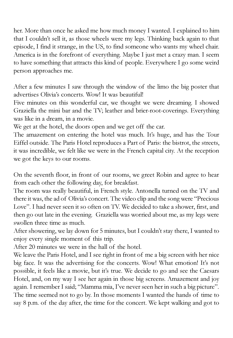her. More than once he asked me how much money I wanted. I explained to him that I couldn't sell it, as those wheels were my legs. Thinking back again to that episode, I find it strange, in the US, to find someone who wants my wheel chair. America is in the forefront of everything. Maybe I just met a crazy man. I seem to have something that attracts this kind of people. Everywhere I go some weird person approaches me.

After a few minutes I saw through the window of the limo the big poster that advertises Olivia's concerts. Wow! It was beautiful!

Five minutes on this wonderful car, we thought we were dreaming. I showed Graziella the mini bar and the TV; leather and brier-root-coverings. Everything was like in a dream, in a movie.

We get at the hotel, the doors open and we get off the car.

The amazement on entering the hotel was much. It's huge, and has the Tour Eiffel outside. The Paris Hotel reproduces a Part of Paris: the bistrot, the streets, it was incredible, we felt like we were in the French capital city. At the reception we got the keys to our rooms.

On the seventh floor, in front of our rooms, we greet Robin and agree to hear from each other the following day, for breakfast.

The room was really beautiful, in French style. Antonella turned on the TV and there it was, the ad of Olivia's concert. The video clip and the song were "Precious Love". I had never seen it so often on TV. We decided to take a shower, first, and then go out late in the evening. Graziella was worried about me, as my legs were swollen three time as much.

After showering, we lay down for 5 minutes, but I couldn't stay there, I wanted to enjoy every single moment of this trip.

After 20 minutes we were in the hall of the hotel.

We leave the Paris Hotel, and I see right in front of me a big screen with her nice big face. It was the advertising for the concerts. Wow! What emotion! It's not possible, it feels like a movie, but it's true. We decide to go and see the Caesars Hotel, and, on my way I see her again in those big screens. Amazement and joy again. I remember I said; "Mamma mia, I've never seen her in such a big picture". The time seemed not to go by. In those moments I wanted the hands of time to say 8 p.m. of the day after, the time for the concert. We kept walking and got to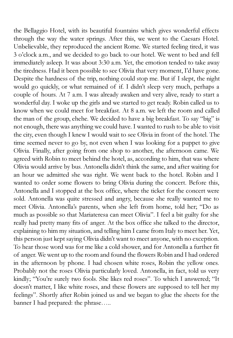the Bellaggio Hotel, with its beautiful fountains which gives wonderful effects through the way the water springs. After this, we went to the Caesars Hotel. Unbelievable, they reproduced the ancient Rome. We started feeling tired, it was 3 o'clock a.m., and we decided to go back to our hotel. We went to bed and fell immediately asleep. It was about 3:30 a.m. Yet, the emotion tended to take away the tiredness. Had it been possible to see Olivia that very moment, I'd have gone. Despite the hardness of the trip, nothing could stop me. But if I slept, the night would go quickly, or what remained of if. I didn't sleep very much, perhaps a couple of hours. At 7 a.m. I was already awaken and very alive, ready to start a wonderful day. I woke up the girls and we started to get ready. Robin called us to know when we could meet for breakfast. At 8 a.m. we left the room and called the man of the group, ehehe. We decided to have a big breakfast. To say "big" is not enough, there was anything we could have. I wanted to rush to be able to visit the city, even though I knew I would wait to see Olivia in front of the hotel. The time seemed never to go by, not even when I was looking for a puppet to give Olivia. Finally, after going from one shop to another, the afternoon came. We agreed with Robin to meet behind the hotel, as, according to him, that was where Olivia would arrive by bus. Antonella didn't think the same, and after waiting for an hour we admitted she was right. We went back to the hotel. Robin and I wanted to order some flowers to bring Olivia during the concert. Before this, Antonella and I stopped at the box office, where the ticket for the concert were sold. Antonella was quite stressed and angry, because she really wanted me to meet Olivia. Antonella's parents, when she left from home, told her; "Do as much as possible so that Mariateresa can meet Olivia". I feel a bit guilty for she really had pretty many fits of anger. At the box office she talked to the director, explaining to him my situation, and telling him I came from Italy to meet her. Yet, this person just kept saying Olivia didn't want to meet anyone, with no exception. To hear those word was for me like a cold shower, and for Antonella a further fit of anger. We went up to the room and found the flowers Robin and I had ordered in the afternoon by phone. I had chosen white roses, Robin the yellow ones. Probably not the roses Olivia particularly loved. Antonella, in fact, told us very kindly; "You're surely two fools. She likes red roses". To which I answered; "It doesn't matter, I like white roses, and these flowers are supposed to tell her my feelings". Shortly after Robin joined us and we began to glue the sheets for the banner I had prepared: the phrase…..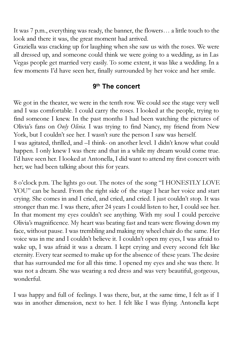It was 7 p.m., everything was ready, the banner, the flowers… a little touch to the look and there it was, the great moment had arrived.

Graziella was cracking up for laughing when she saw us with the roses. We were all dressed up, and someone could think we were going to a wedding, as in Las Vegas people get married very easily. To some extent, it was like a wedding. In a few moments I'd have seen her, finally surrounded by her voice and her smile.

### 9th The concert

We got in the theater, we were in the tenth row. We could see the stage very well and I was comfortable. I could carry the roses. I looked at the people, trying to find someone I knew. In the past months I had been watching the pictures of Olivia's fans on Only Olivia. I was trying to find Nancy, my friend from New York, but I couldn't see her. I wasn't sure the person I saw was herself. I was agitated, thrilled, and –I think- on another level. I didn't know what could happen. I only knew I was there and that in a while my dream would come true. I'd have seen her. I looked at Antonella, I did want to attend my first concert with her; we had been talking about this for years.

8 o'clock p.m. The lights go out. The notes of the song "I HONESTLY LOVE YOU" can be heard. From the right side of the stage I hear her voice and start crying. She comes in and I cried, and cried, and cried. I just couldn't stop. It was stronger than me. I was there, after 24 years I could listen to her, I could see her. In that moment my eyes couldn't see anything. With my soul I could perceive Olivia's magnificence. My heart was beating fast and tears were flowing down my face, without pause. I was trembling and making my wheel chair do the same. Her voice was in me and I couldn't believe it. I couldn't open my eyes, I was afraid to wake up, I was afraid it was a dream. I kept crying and every second felt like eternity. Every tear seemed to make up for the absence of these years. The desire that has surrounded me for all this time. I opened my eyes and she was there. It was not a dream. She was wearing a red dress and was very beautiful, gorgeous, wonderful.

I was happy and full of feelings. I was there, but, at the same time, I felt as if I was in another dimension, next to her. I felt like I was flying. Antonella kept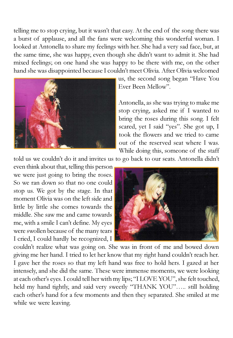telling me to stop crying, but it wasn't that easy. At the end of the song there was a burst of applause, and all the fans were welcoming this wonderful woman. I looked at Antonella to share my feelings with her. She had a very sad face, but, at the same time, she was happy, even though she didn't want to admit it. She had mixed feelings; on one hand she was happy to be there with me, on the other hand she was disappointed because I couldn't meet Olivia. After Olivia welcomed



us, the second song began "Have You Ever Been Mellow".

Antonella, as she was trying to make me stop crying, asked me if I wanted to bring the roses during this song. I felt scared, yet I said "yes". She got up, I took the flowers and we tried to came out of the reserved seat where I was. While doing this, someone of the staff

told us we couldn't do it and invites us to go back to our seats. Antonella didn't

even think about that, telling this person we were just going to bring the roses. So we ran down so that no one could stop us. We got by the stage. In that moment Olivia was on the left side and little by little she comes towards the middle. She saw me and came towards me, with a smile I can't define. My eyes were swollen because of the many tears I cried, I could hardly be recognized, I



couldn't realize what was going on. She was in front of me and bowed down giving me her hand. I tried to let her know that my right hand couldn't reach her. I gave her the roses so that my left hand was free to hold hers. I gazed at her intensely, and she did the same. These were immense moments, we were looking at each other's eyes. I could tell her with my lips; "I LOVE YOU", she felt touched, held my hand tightly, and said very sweetly "THANK YOU"….. still holding each other's hand for a few moments and then they separated. She smiled at me while we were leaving.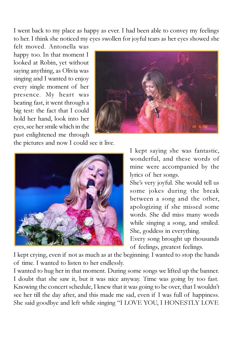I went back to my place as happy as ever. I had been able to convey my feelings to her. I think she noticed my eyes swollen for joyful tears as her eyes showed she

felt moved. Antonella was happy too. In that moment I looked at Robin, yet without saying anything, as Olivia was singing and I wanted to enjoy every single moment of her presence. My heart was beating fast, it went through a big test: the fact that I could hold her hand, look into her eyes, see her smile which in the past enlightened me through



the pictures and now I could see it live.



I kept saying she was fantastic, wonderful, and these words of mine were accompanied by the lyrics of her songs.

She's very joyful. She would tell us some jokes during the break between a song and the other, apologizing if she missed some words. She did miss many words while singing a song, and smiled. She, goddess in everything.

Every song brought up thousands of feelings, greatest feelings.

I kept crying, even if not as much as at the beginning. I wanted to stop the hands of time. I wanted to listen to her endlessly.

I wanted to hug her in that moment. During some songs we lifted up the banner. I doubt that she saw it, but it was nice anyway. Time was going by too fast. Knowing the concert schedule, I knew that it was going to be over, that I wouldn't see her till the day after, and this made me sad, even if I was full of happiness. She said goodbye and left while singing "I LOVE YOU, I HONESTLY LOVE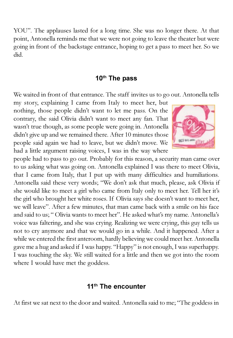YOU". The applauses lasted for a long time. She was no longer there. At that point, Antonella reminds me that we were not going to leave the theater but were going in front of the backstage entrance, hoping to get a pass to meet her. So we did.

## 10<sup>th</sup> The pass

We waited in front of that entrance. The staff invites us to go out. Antonella tells

my story, explaining I came from Italy to meet her, but nothing, those people didn't want to let me pass. On the contrary, the said Olivia didn't want to meet any fan. That wasn't true though, as some people were going in. Antonella didn't give up and we remained there. After 10 minutes those people said again we had to leave, but we didn't move. We had a little argument raising voices, I was in the way where



people had to pass to go out. Probably for this reason, a security man came over to us asking what was going on. Antonella explained I was there to meet Olivia, that I came from Italy, that I put up with many difficulties and humiliations. Antonella said these very words; "We don't ask that much, please, ask Olivia if she would like to meet a girl who came from Italy only to meet her. Tell her it's the girl who brought her white roses. If Olivia says she doesn't want to meet her, we will leave". After a few minutes, that man came back with a smile on his face and said to us; " Olivia wants to meet her". He asked what's my name. Antonella's voice was faltering, and she was crying. Realizing we were crying, this guy tells us not to cry anymore and that we would go in a while. And it happened. After a while we entered the first anteroom, hardly believing we could meet her. Antonella gave me a hug and asked if I was happy. "Happy" is not enough, I was superhappy. I was touching the sky. We still waited for a little and then we got into the room where I would have met the goddess.

#### 11<sup>th</sup> The encounter

At first we sat next to the door and waited. Antonella said to me; "The goddess in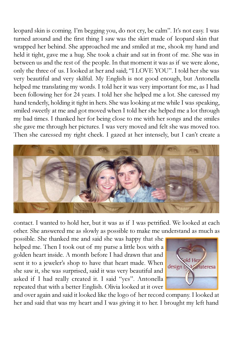leopard skin is coming. I'm begging you, do not cry, be calm". It's not easy. I was turned around and the first thing I saw was the skirt made of leopard skin that wrapped her behind. She approached me and smiled at me, shook my hand and held it tight, gave me a hug. She took a chair and sat in front of me. She was in between us and the rest of the people. In that moment it was as if we were alone, only the three of us. I looked at her and said; "I LOVE YOU". I told her she was very beautiful and very skilful. My English is not good enough, but Antonella helped me translating my words. I told her it was very important for me, as I had been following her for 24 years. I told her she helped me a lot. She caressed my hand tenderly, holding it tight in hers. She was looking at me while I was speaking, smiled sweetly at me and got moved when I told her she helped me a lot through my bad times. I thanked her for being close to me with her songs and the smiles she gave me through her pictures. I was very moved and felt she was moved too. Then she caressed my right cheek. I gazed at her intensely, but I can't create a



contact. I wanted to hold her, but it was as if I was petrified. We looked at each other. She answered me as slowly as possible to make me understand as much as

possible. She thanked me and said she was happy that she helped me. Then I took out of my purse a little box with a golden heart inside. A month before I had drawn that and sent it to a jeweler's shop to have that heart made. When she saw it, she was surprised, said it was very beautiful and asked if I had really created it. I said "yes". Antonella repeated that with a better English. Olivia looked at it over



and over again and said it looked like the logo of her record company. I looked at her and said that was my heart and I was giving it to her. I brought my left hand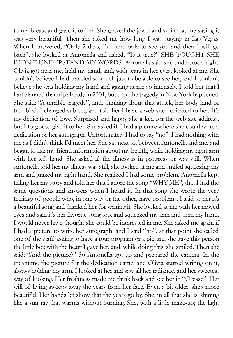to my breast and gave it to her. She grazed the jewel and smiled at me saying it was very beautiful. Then she asked me how long I was staying in Las Vegas. When I answered; "Only 2 days, I'm here only to see you and then I will go back", she looked at Antonella and asked, "Is it true?" SHE TOUGHT SHE DIDN'T UNDERSTAND MY WORDS. Antonella said she understood right. Olivia got near me, held my hand, and, with tears in her eyes, looked at me. She couldn't believe I had traveled so much just to be able to see her, and I couldn't believe she was holding my hand and gazing at me so intensely. I told her that I had planned that trip already in 2001, but then the tragedy in New York happened. She said; "A terrible tragedy", and, thinking about that attack, her body kind of trembled. I changed subject, and told her I have a web site dedicated to her. It's my dedication of love. Surprised and happy she asked for the web site address, but I forgot to give it to her. She asked if I had a picture where she could write a dedication or her autograph. Unfortunately I had to say "no". I had nothing with me as I didn't think I'd meet her. She sat next to, between Antonella and me, and began to ask my friend information about my health, while holding my right arm with her left hand. She asked if the illness is in progress or was still. When Antonella told her my illness was still, she looked at me and smiled squeezing my arm and grazed my right hand. She realized I had some problem. Antonella kept telling her my story and told her that I adore the song "WHY ME", that I had the same questions and answers when I heard it. In that song she wrote the very feelings of people who, in one way or the other, have problems. I said to her it's a beautiful song and thanked her for writing it. She looked at me with her moved eyes and said it's her favorite song too, and squeezed my arm and then my hand. I would never have thought she could be interested in me. She asked me again if I had a picture to write her autograph, and I said "no". at that point she called one of the staff asking to have a tour program or a picture, she gave this person the little box with the heart I gave her, and, while doing this, she smiled. Then she said; "And the picture?" So Antonella got up and prepared the camera. In the meantime the picture for the dedication came, and Olivia started writing on it, always holding my arm. I looked at her and saw all her radiance, and her sweetest way of looking. Her freshness made me think back and see her in "Grease". Her will of living sweeps away the years from her face. Even a bit older, she's more beautiful. Her hands let show that the years go by. She, in all that she is, shining like a sun ray that warms without burning. She, with a little make-up; the light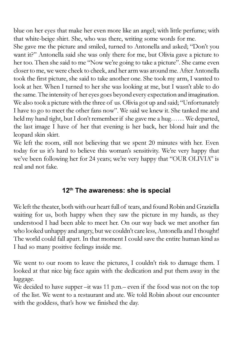blue on her eyes that make her even more like an angel; with little perfume; with that white-beige shirt. She, who was there, writing some words for me.

She gave me the picture and smiled, turned to Antonella and asked; "Don't you want it?" Antonella said she was only there for me, but Olivia gave a picture to her too. Then she said to me "Now we're going to take a picture". She came even closer to me, we were cheek to cheek, and her arm was around me. After Antonella took the first picture, she said to take another one. She took my arm, I wanted to look at her. When I turned to her she was looking at me, but I wasn't able to do the same. The intensity of her eyes goes beyond every expectation and imagination. We also took a picture with the three of us. Olivia got up and said; "Unfortunately I have to go to meet the other fans now". We said we knew it. She tanked me and held my hand tight, but I don't remember if she gave me a hug…… We departed, the last image I have of her that evening is her back, her blond hair and the leopard skin skirt.

We left the room, still not believing that we spent 20 minutes with her. Even today for us it's hard to believe this woman's sensitivity. We're very happy that we've been following her for 24 years; we're very happy that "OUR OLIVIA" is real and not fake.

# 12<sup>th</sup> The awareness: she is special

We left the theater, both with our heart full of tears, and found Robin and Graziella waiting for us, both happy when they saw the picture in my hands, as they understood I had been able to meet her. On our way back we met another fan who looked unhappy and angry, but we couldn't care less, Antonella and I thought! The world could fall apart. In that moment I could save the entire human kind as I had so many positive feelings inside me.

We went to our room to leave the pictures, I couldn't risk to damage them. I looked at that nice big face again with the dedication and put them away in the luggage.

We decided to have supper –it was 11 p.m.– even if the food was not on the top of the list. We went to a restaurant and ate. We told Robin about our encounter with the goddess, that's how we finished the day.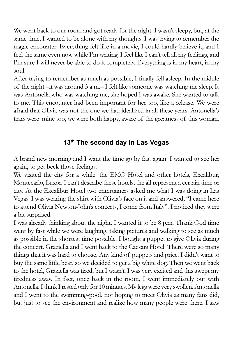We went back to our room and got ready for the night. I wasn't sleepy, but, at the same time, I wanted to be alone with my thoughts. I was trying to remember the magic encounter. Everything felt like in a movie, I could hardly believe it, and I feel the same even now while I'm writing. I feel like I can't tell all my feelings, and I'm sure I will never be able to do it completely. Everything is in my heart, in my soul.

After trying to remember as much as possible, I finally fell asleep. In the middle of the night –it was around 3 a.m.– I felt like someone was watching me sleep. It was Antonella who was watching me, she hoped I was awake. She wanted to talk to me. This encounter had been important for her too, like a release. We were afraid that Olivia was not the one we had idealized in all these years. Antonella's tears were mine too, we were both happy, aware of the greatness of this woman.

# 13<sup>th</sup> The second day in Las Vegas

A brand new morning and I want the time go by fast again. I wanted to see her again, to get beck those feelings.

We visited the city for a while: the EMG Hotel and other hotels, Excalibur, Montecarlo, Luxor. I can't describe these hotels, the all represent a certain time or city. At the Excalibur Hotel two entertainers asked me what I was doing in Las Vegas. I was wearing the shirt with Olivia's face on it and answered; "I came here to attend Olivia Newton-John's concerts, I come from Italy". I noticed they were a bit surprised.

I was already thinking about the night. I wanted it to be 8 p.m. Thank God time went by fast while we were laughing, taking pictures and walking to see as much as possible in the shortest time possible. I bought a puppet to give Olivia during the concert. Graziella and I went back to the Caesars Hotel. There were so many things that it was hard to choose. Any kind of puppets and price. I didn't want to buy the same little bear, so we decided to get a big white dog. Then we went back to the hotel, Graziella was tired, but I wasn't. I was very excited and this swept my tiredness away. In fact, once back in the room, I went immediately out with Antonella. I think I rested only for 10 minutes. My legs were very swollen. Antonella and I went to the swimming-pool, not hoping to meet Olivia as many fans did, but just to see the environment and realize how many people were there. I saw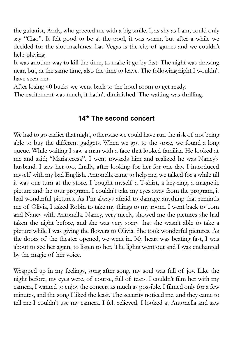the guitarist, Andy, who greeted me with a big smile. I, as shy as I am, could only say "Ciao". It felt good to be at the pool, it was warm, but after a while we decided for the slot-machines. Las Vegas is the city of games and we couldn't help playing.

It was another way to kill the time, to make it go by fast. The night was drawing near, but, at the same time, also the time to leave. The following night I wouldn't have seen her.

After losing 40 bucks we went back to the hotel room to get ready.

The excitement was much, it hadn't diminished. The waiting was thrilling.

## 14th The second concert

We had to go earlier that night, otherwise we could have run the risk of not being able to buy the different gadgets. When we got to the store, we found a long queue. While waiting I saw a man with a face that looked familiar. He looked at me and said; "Mariateresa". I went towards him and realized he was Nancy's husband. I saw her too, finally, after looking for her for one day. I introduced myself with my bad English. Antonella came to help me, we talked for a while till it was our turn at the store. I bought myself a T-shirt, a key-ring, a magnetic picture and the tour program. I couldn't take my eyes away from the program, it had wonderful pictures. As I'm always afraid to damage anything that reminds me of Olivia, I asked Robin to take my things to my room. I went back to Tom and Nancy with Antonella. Nancy, very nicely, showed me the pictures she had taken the night before, and she was very sorry that she wasn't able to take a picture while I was giving the flowers to Olivia. She took wonderful pictures. As the doors of the theater opened, we went in. My heart was beating fast, I was about to see her again, to listen to her. The lights went out and I was enchanted by the magic of her voice.

Wrapped up in my feelings, song after song, my soul was full of joy. Like the night before, my eyes were, of course, full of tears. I couldn't film her with my camera, I wanted to enjoy the concert as much as possible. I filmed only for a few minutes, and the song I liked the least. The security noticed me, and they came to tell me I couldn't use my camera. I felt relieved. I looked at Antonella and saw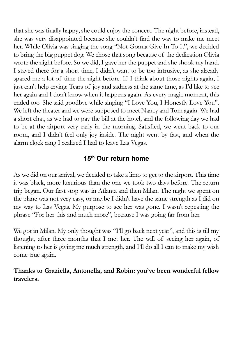that she was finally happy; she could enjoy the concert. The night before, instead, she was very disappointed because she couldn't find the way to make me meet her. While Olivia was singing the song "Not Gonna Give In To It", we decided to bring the big puppet dog. We chose that song because of the dedication Olivia wrote the night before. So we did, I gave her the puppet and she shook my hand. I stayed there for a short time, I didn't want to be too intrusive, as she already spared me a lot of time the night before. If I think about those nights again, I just can't help crying. Tears of joy and sadness at the same time, as I'd like to see her again and I don't know when it happens again. As every magic moment, this ended too. She said goodbye while singing "I Love You, I Honestly Love You". We left the theater and we were supposed to meet Nancy and Tom again. We had a short chat, as we had to pay the bill at the hotel, and the following day we had to be at the airport very early in the morning. Satisfied, we went back to our room, and I didn't feel only joy inside. The night went by fast, and when the alarm clock rang I realized I had to leave Las Vegas.

## 15<sup>th</sup> Our return home

As we did on our arrival, we decided to take a limo to get to the airport. This time it was black, more luxurious than the one we took two days before. The return trip began. Our first stop was in Atlanta and then Milan. The night we spent on the plane was not very easy, or maybe I didn't have the same strength as I did on my way to Las Vegas. My purpose to see her was gone. I wasn't repeating the phrase "For her this and much more", because I was going far from her.

We got in Milan. My only thought was "I'll go back next year", and this is till my thought, after three months that I met her. The will of seeing her again, of listening to her is giving me much strength, and I'll do all I can to make my wish come true again.

#### Thanks to Graziella, Antonella, and Robin: you've been wonderful fellow travelers.